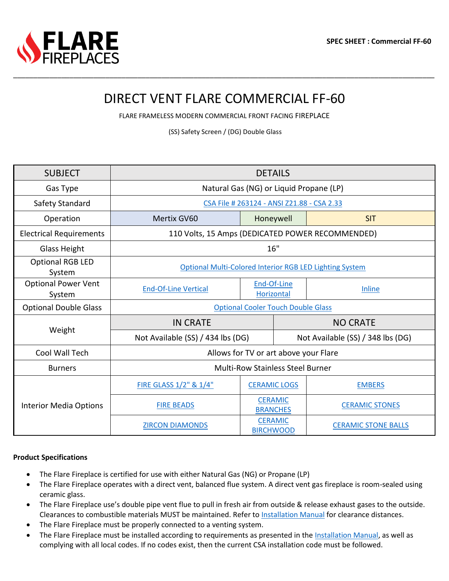# DIRECT VENT FLARE COMMERCIAL FF-60

\_\_\_\_\_\_\_\_\_\_\_\_\_\_\_\_\_\_\_\_\_\_\_\_\_\_\_\_\_\_\_\_\_\_\_\_\_\_\_\_\_\_\_\_\_\_\_\_\_\_\_\_\_\_\_\_\_\_\_\_\_\_\_\_\_\_\_\_\_\_\_\_\_\_\_\_\_\_\_\_\_\_\_\_\_\_\_\_\_\_\_\_\_\_\_\_\_\_\_\_\_\_\_\_\_

FLARE FRAMELESS MODERN COMMERCIAL FRONT FACING FIREPLACE

(SS) Safety Screen / (DG) Double Glass

| <b>SUBJECT</b>                       | <b>DETAILS</b>                                          |                                    |                                   |                            |  |  |  |  |
|--------------------------------------|---------------------------------------------------------|------------------------------------|-----------------------------------|----------------------------|--|--|--|--|
| Gas Type                             | Natural Gas (NG) or Liquid Propane (LP)                 |                                    |                                   |                            |  |  |  |  |
| Safety Standard                      | CSA File # 263124 - ANSI Z21.88 - CSA 2.33              |                                    |                                   |                            |  |  |  |  |
| Operation                            | Mertix GV60                                             | Honeywell                          |                                   | <b>SIT</b>                 |  |  |  |  |
| <b>Electrical Requirements</b>       | 110 Volts, 15 Amps (DEDICATED POWER RECOMMENDED)        |                                    |                                   |                            |  |  |  |  |
| Glass Height                         | 16"                                                     |                                    |                                   |                            |  |  |  |  |
| <b>Optional RGB LED</b><br>System    | Optional Multi-Colored Interior RGB LED Lighting System |                                    |                                   |                            |  |  |  |  |
| <b>Optional Power Vent</b><br>System | <b>End-Of-Line Vertical</b>                             | End-Of-Line<br>Horizontal          |                                   | <b>Inline</b>              |  |  |  |  |
| <b>Optional Double Glass</b>         | <b>Optional Cooler Touch Double Glass</b>               |                                    |                                   |                            |  |  |  |  |
|                                      | <b>IN CRATE</b>                                         |                                    | <b>NO CRATE</b>                   |                            |  |  |  |  |
| Weight                               | Not Available (SS) / 434 lbs (DG)                       |                                    | Not Available (SS) / 348 lbs (DG) |                            |  |  |  |  |
| Cool Wall Tech                       | Allows for TV or art above your Flare                   |                                    |                                   |                            |  |  |  |  |
| <b>Burners</b>                       | <b>Multi-Row Stainless Steel Burner</b>                 |                                    |                                   |                            |  |  |  |  |
| <b>Interior Media Options</b>        | FIRE GLASS 1/2" & 1/4"                                  | <b>CERAMIC LOGS</b>                |                                   | <b>EMBERS</b>              |  |  |  |  |
|                                      | <b>FIRE BEADS</b>                                       | <b>CERAMIC</b><br><b>BRANCHES</b>  |                                   | <b>CERAMIC STONES</b>      |  |  |  |  |
|                                      | <b>ZIRCON DIAMONDS</b>                                  | <b>CERAMIC</b><br><b>BIRCHWOOD</b> |                                   | <b>CERAMIC STONE BALLS</b> |  |  |  |  |

### **Product Specifications**

- The Flare Fireplace is certified for use with either Natural Gas (NG) or Propane (LP)
- The Flare Fireplace operates with a direct vent, balanced flue system. A direct vent gas fireplace is room-sealed using ceramic glass.
- The Flare Fireplace use's double pipe vent flue to pull in fresh air from outside & release exhaust gases to the outside. Clearances to combustible materials MUST be maintained. Refer to [Installation Manual](https://flarefireplaces.com/install_manual) for clearance distances.
- The Flare Fireplace must be properly connected to a venting system.
- The Flare Fireplace must be installed according to requirements as presented in the [Installation Manual,](https://flarefireplaces.com/install_manual) as well as complying with all local codes. If no codes exist, then the current CSA installation code must be followed.